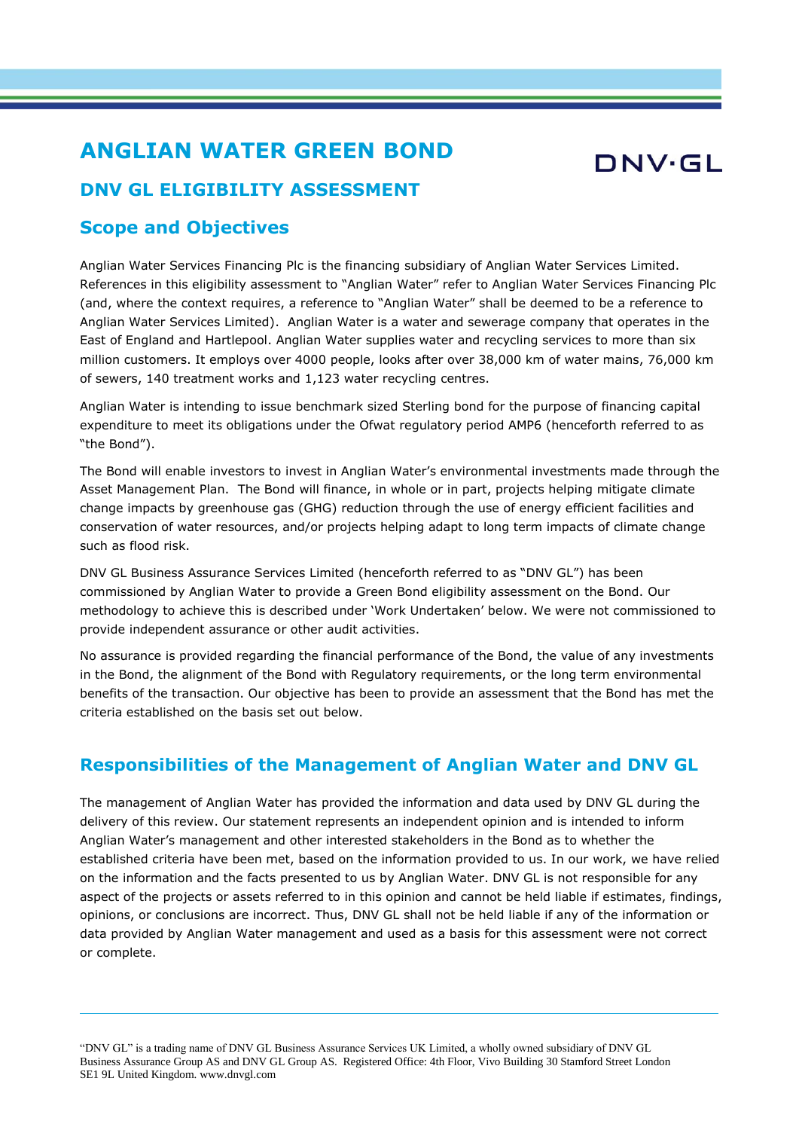# **ANGLIAN WATER GREEN BOND**

# DNV·GL

## **DNV GL ELIGIBILITY ASSESSMENT**

### **Scope and Objectives**

Anglian Water Services Financing Plc is the financing subsidiary of Anglian Water Services Limited. References in this eligibility assessment to "Anglian Water" refer to Anglian Water Services Financing Plc (and, where the context requires, a reference to "Anglian Water" shall be deemed to be a reference to Anglian Water Services Limited). Anglian Water is a water and sewerage company that operates in the East of England and Hartlepool. Anglian Water supplies water and recycling services to more than six million customers. It employs over 4000 people, looks after over 38,000 km of water mains, 76,000 km of sewers, 140 treatment works and 1,123 water recycling centres.

Anglian Water is intending to issue benchmark sized Sterling bond for the purpose of financing capital expenditure to meet its obligations under the Ofwat regulatory period AMP6 (henceforth referred to as "the Bond").

The Bond will enable investors to invest in Anglian Water's environmental investments made through the Asset Management Plan. The Bond will finance, in whole or in part, projects helping mitigate climate change impacts by greenhouse gas (GHG) reduction through the use of energy efficient facilities and conservation of water resources, and/or projects helping adapt to long term impacts of climate change such as flood risk.

DNV GL Business Assurance Services Limited (henceforth referred to as "DNV GL") has been commissioned by Anglian Water to provide a Green Bond eligibility assessment on the Bond. Our methodology to achieve this is described under 'Work Undertaken' below. We were not commissioned to provide independent assurance or other audit activities.

No assurance is provided regarding the financial performance of the Bond, the value of any investments in the Bond, the alignment of the Bond with Regulatory requirements, or the long term environmental benefits of the transaction. Our objective has been to provide an assessment that the Bond has met the criteria established on the basis set out below.

## **Responsibilities of the Management of Anglian Water and DNV GL**

The management of Anglian Water has provided the information and data used by DNV GL during the delivery of this review. Our statement represents an independent opinion and is intended to inform Anglian Water's management and other interested stakeholders in the Bond as to whether the established criteria have been met, based on the information provided to us. In our work, we have relied on the information and the facts presented to us by Anglian Water. DNV GL is not responsible for any aspect of the projects or assets referred to in this opinion and cannot be held liable if estimates, findings, opinions, or conclusions are incorrect. Thus, DNV GL shall not be held liable if any of the information or data provided by Anglian Water management and used as a basis for this assessment were not correct or complete.

"DNV GL" is a trading name of DNV GL Business Assurance Services UK Limited, a wholly owned subsidiary of DNV GL Business Assurance Group AS and DNV GL Group AS. Registered Office: 4th Floor, Vivo Building 30 Stamford Street London SE1 9L United Kingdom. www.dnvgl.com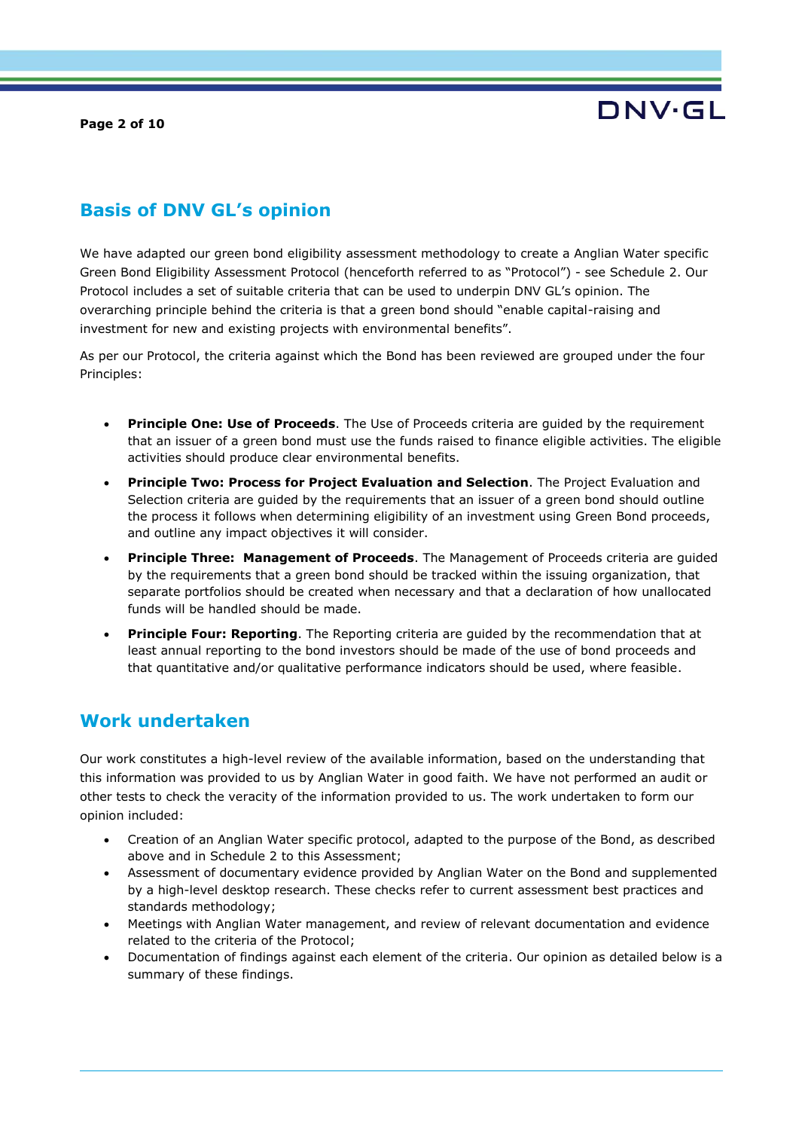**Page 2 of 10**



## **Basis of DNV GL's opinion**

We have adapted our green bond eligibility assessment methodology to create a Anglian Water specific Green Bond Eligibility Assessment Protocol (henceforth referred to as "Protocol") - see Schedule 2. Our Protocol includes a set of suitable criteria that can be used to underpin DNV GL's opinion. The overarching principle behind the criteria is that a green bond should "enable capital-raising and investment for new and existing projects with environmental benefits".

As per our Protocol, the criteria against which the Bond has been reviewed are grouped under the four Principles:

- **Principle One: Use of Proceeds.** The Use of Proceeds criteria are quided by the requirement that an issuer of a green bond must use the funds raised to finance eligible activities. The eligible activities should produce clear environmental benefits.
- **Principle Two: Process for Project Evaluation and Selection**. The Project Evaluation and Selection criteria are guided by the requirements that an issuer of a green bond should outline the process it follows when determining eligibility of an investment using Green Bond proceeds, and outline any impact objectives it will consider.
- **Principle Three: Management of Proceeds**. The Management of Proceeds criteria are guided by the requirements that a green bond should be tracked within the issuing organization, that separate portfolios should be created when necessary and that a declaration of how unallocated funds will be handled should be made.
- **Principle Four: Reporting**. The Reporting criteria are guided by the recommendation that at least annual reporting to the bond investors should be made of the use of bond proceeds and that quantitative and/or qualitative performance indicators should be used, where feasible.

### **Work undertaken**

Our work constitutes a high-level review of the available information, based on the understanding that this information was provided to us by Anglian Water in good faith. We have not performed an audit or other tests to check the veracity of the information provided to us. The work undertaken to form our opinion included:

- Creation of an Anglian Water specific protocol, adapted to the purpose of the Bond, as described above and in Schedule 2 to this Assessment;
- Assessment of documentary evidence provided by Anglian Water on the Bond and supplemented by a high-level desktop research. These checks refer to current assessment best practices and standards methodology;
- Meetings with Anglian Water management, and review of relevant documentation and evidence related to the criteria of the Protocol;
- Documentation of findings against each element of the criteria. Our opinion as detailed below is a summary of these findings.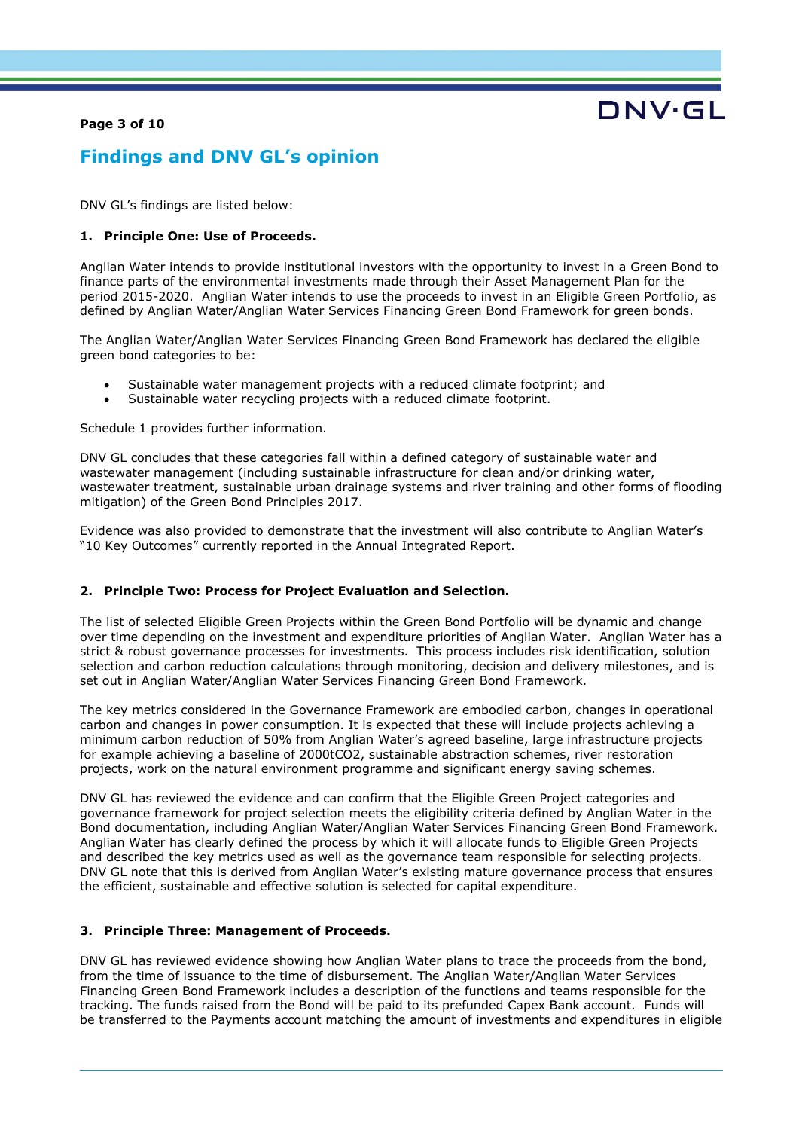#### **Page 3 of 10**

# DNV·GL

# **Findings and DNV GL's opinion**

DNV GL's findings are listed below:

#### **1. Principle One: Use of Proceeds.**

Anglian Water intends to provide institutional investors with the opportunity to invest in a Green Bond to finance parts of the environmental investments made through their Asset Management Plan for the period 2015-2020. Anglian Water intends to use the proceeds to invest in an Eligible Green Portfolio, as defined by Anglian Water/Anglian Water Services Financing Green Bond Framework for green bonds.

The Anglian Water/Anglian Water Services Financing Green Bond Framework has declared the eligible green bond categories to be:

- Sustainable water management projects with a reduced climate footprint; and
- Sustainable water recycling projects with a reduced climate footprint.

Schedule 1 provides further information.

DNV GL concludes that these categories fall within a defined category of sustainable water and wastewater management (including sustainable infrastructure for clean and/or drinking water, wastewater treatment, sustainable urban drainage systems and river training and other forms of flooding mitigation) of the Green Bond Principles 2017.

Evidence was also provided to demonstrate that the investment will also contribute to Anglian Water's "10 Key Outcomes" currently reported in the Annual Integrated Report.

#### **2. Principle Two: Process for Project Evaluation and Selection.**

The list of selected Eligible Green Projects within the Green Bond Portfolio will be dynamic and change over time depending on the investment and expenditure priorities of Anglian Water. Anglian Water has a strict & robust governance processes for investments. This process includes risk identification, solution selection and carbon reduction calculations through monitoring, decision and delivery milestones, and is set out in Anglian Water/Anglian Water Services Financing Green Bond Framework.

The key metrics considered in the Governance Framework are embodied carbon, changes in operational carbon and changes in power consumption. It is expected that these will include projects achieving a minimum carbon reduction of 50% from Anglian Water's agreed baseline, large infrastructure projects for example achieving a baseline of 2000tCO2, sustainable abstraction schemes, river restoration projects, work on the natural environment programme and significant energy saving schemes.

DNV GL has reviewed the evidence and can confirm that the Eligible Green Project categories and governance framework for project selection meets the eligibility criteria defined by Anglian Water in the Bond documentation, including Anglian Water/Anglian Water Services Financing Green Bond Framework. Anglian Water has clearly defined the process by which it will allocate funds to Eligible Green Projects and described the key metrics used as well as the governance team responsible for selecting projects. DNV GL note that this is derived from Anglian Water's existing mature governance process that ensures the efficient, sustainable and effective solution is selected for capital expenditure.

#### **3. Principle Three: Management of Proceeds.**

DNV GL has reviewed evidence showing how Anglian Water plans to trace the proceeds from the bond, from the time of issuance to the time of disbursement. The Anglian Water/Anglian Water Services Financing Green Bond Framework includes a description of the functions and teams responsible for the tracking. The funds raised from the Bond will be paid to its prefunded Capex Bank account. Funds will be transferred to the Payments account matching the amount of investments and expenditures in eligible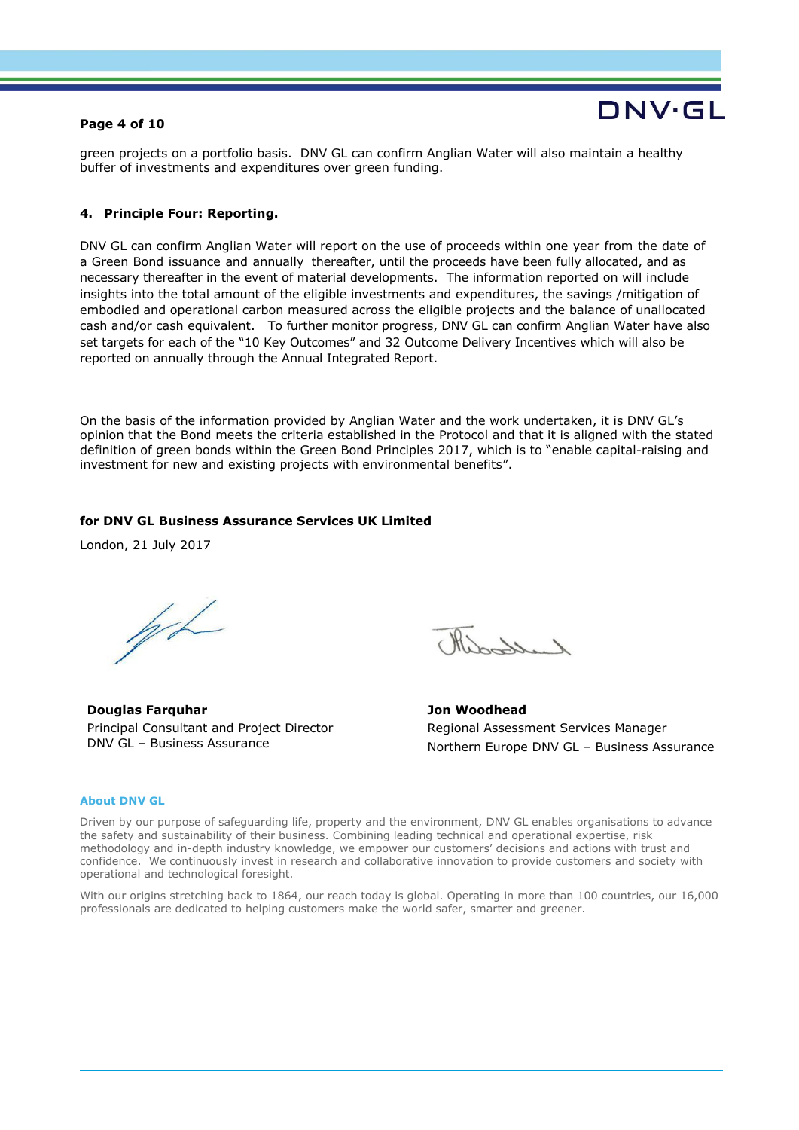#### **Page 4 of 10**

# DNV·GL

green projects on a portfolio basis. DNV GL can confirm Anglian Water will also maintain a healthy buffer of investments and expenditures over green funding.

#### **4. Principle Four: Reporting.**

DNV GL can confirm Anglian Water will report on the use of proceeds within one year from the date of a Green Bond issuance and annually thereafter, until the proceeds have been fully allocated, and as necessary thereafter in the event of material developments. The information reported on will include insights into the total amount of the eligible investments and expenditures, the savings /mitigation of embodied and operational carbon measured across the eligible projects and the balance of unallocated cash and/or cash equivalent. To further monitor progress, DNV GL can confirm Anglian Water have also set targets for each of the "10 Key Outcomes" and 32 Outcome Delivery Incentives which will also be reported on annually through the Annual Integrated Report.

On the basis of the information provided by Anglian Water and the work undertaken, it is DNV GL's opinion that the Bond meets the criteria established in the Protocol and that it is aligned with the stated definition of green bonds within the Green Bond Principles 2017, which is to "enable capital-raising and investment for new and existing projects with environmental benefits".

#### **for DNV GL Business Assurance Services UK Limited**

London, 21 July 2017

had

**Douglas Farquhar** Principal Consultant and Project Director DNV GL – Business Assurance

liberty, 1

**Jon Woodhead** Regional Assessment Services Manager Northern Europe DNV GL – Business Assurance

#### **About DNV GL**

Driven by our purpose of safeguarding life, property and the environment, DNV GL enables organisations to advance the safety and sustainability of their business. Combining leading technical and operational expertise, risk methodology and in-depth industry knowledge, we empower our customers' decisions and actions with trust and confidence. We continuously invest in research and collaborative innovation to provide customers and society with operational and technological foresight.

With our origins stretching back to 1864, our reach today is global. Operating in more than 100 countries, our 16,000 professionals are dedicated to helping customers make the world safer, smarter and greener.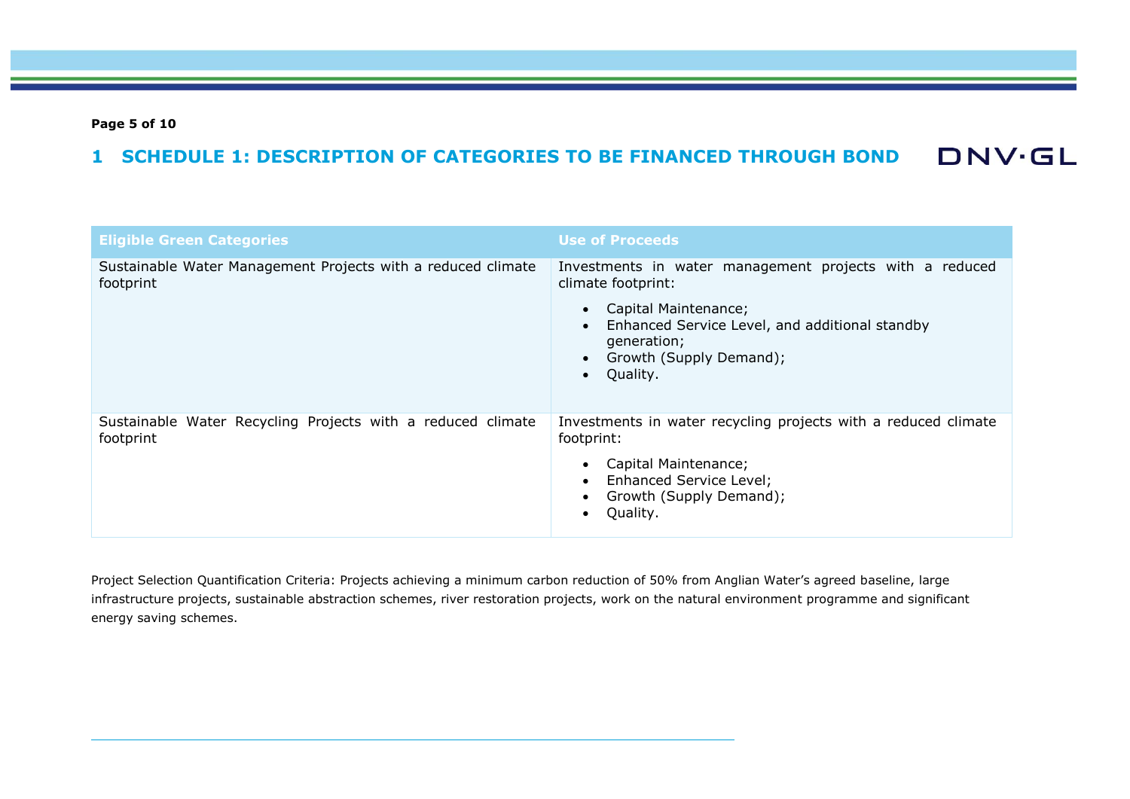**Page 5 of 10**

#### **DNV·GL 1 SCHEDULE 1: DESCRIPTION OF CATEGORIES TO BE FINANCED THROUGH BOND**

| <b>Eligible Green Categories</b>                                          | <b>Use of Proceeds</b>                                                                                                                                                                                        |
|---------------------------------------------------------------------------|---------------------------------------------------------------------------------------------------------------------------------------------------------------------------------------------------------------|
| Sustainable Water Management Projects with a reduced climate<br>footprint | Investments in water management projects with a reduced<br>climate footprint:<br>Capital Maintenance;<br>Enhanced Service Level, and additional standby<br>generation;<br>Growth (Supply Demand);<br>Quality. |
| Sustainable Water Recycling Projects with a reduced climate<br>footprint  | Investments in water recycling projects with a reduced climate<br>footprint:<br>Capital Maintenance;<br>Enhanced Service Level;<br>Growth (Supply Demand);<br>Quality.                                        |

Project Selection Quantification Criteria: Projects achieving a minimum carbon reduction of 50% from Anglian Water's agreed baseline, large infrastructure projects, sustainable abstraction schemes, river restoration projects, work on the natural environment programme and significant energy saving schemes.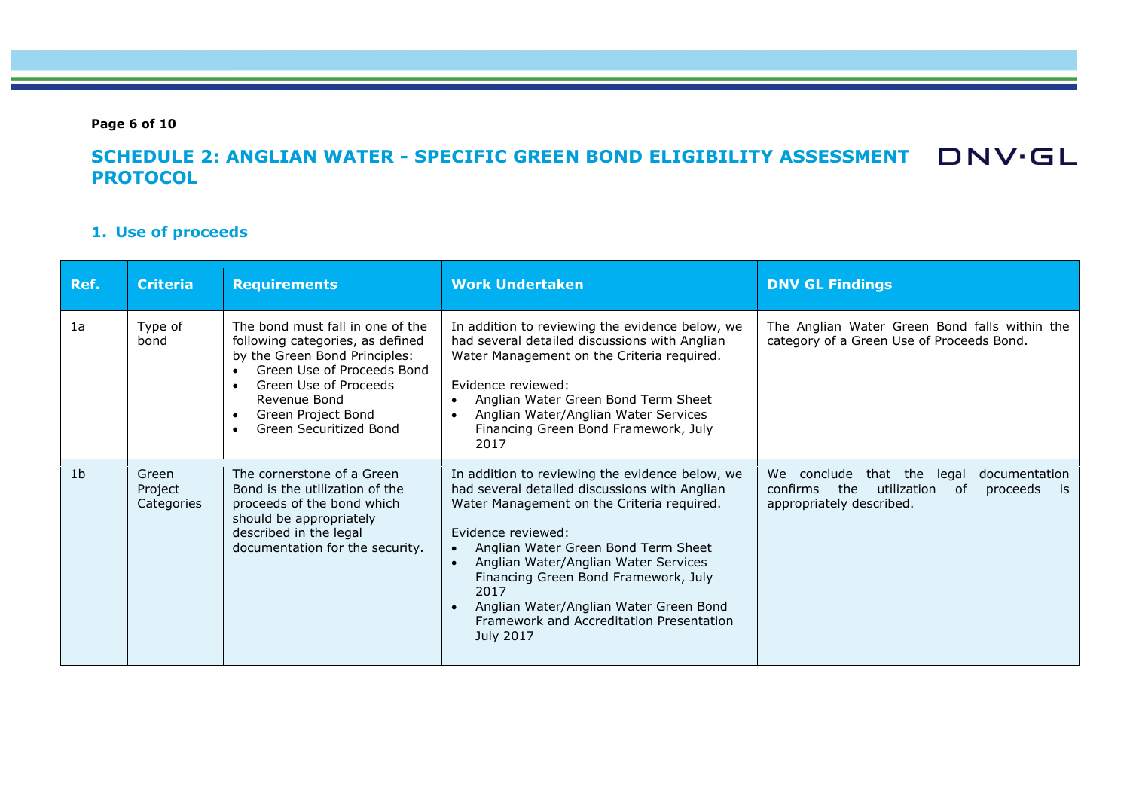**Page 6 of 10**

# **SCHEDULE 2: ANGLIAN WATER - SPECIFIC GREEN BOND ELIGIBILITY ASSESSMENT PROTOCOL**

### **1. Use of proceeds**

| Ref.           | <b>Criteria</b>                | <b>Requirements</b>                                                                                                                                                                                                          | <b>Work Undertaken</b>                                                                                                                                                                                                                                                                                                                                                                                 | <b>DNV GL Findings</b>                                                                                                                    |
|----------------|--------------------------------|------------------------------------------------------------------------------------------------------------------------------------------------------------------------------------------------------------------------------|--------------------------------------------------------------------------------------------------------------------------------------------------------------------------------------------------------------------------------------------------------------------------------------------------------------------------------------------------------------------------------------------------------|-------------------------------------------------------------------------------------------------------------------------------------------|
| 1a             | Type of<br>bond                | The bond must fall in one of the<br>following categories, as defined<br>by the Green Bond Principles:<br>Green Use of Proceeds Bond<br>Green Use of Proceeds<br>Revenue Bond<br>Green Project Bond<br>Green Securitized Bond | In addition to reviewing the evidence below, we<br>had several detailed discussions with Anglian<br>Water Management on the Criteria required.<br>Evidence reviewed:<br>Anglian Water Green Bond Term Sheet<br>Anglian Water/Anglian Water Services<br>Financing Green Bond Framework, July<br>2017                                                                                                    | The Anglian Water Green Bond falls within the<br>category of a Green Use of Proceeds Bond.                                                |
| 1 <sub>b</sub> | Green<br>Project<br>Categories | The cornerstone of a Green<br>Bond is the utilization of the<br>proceeds of the bond which<br>should be appropriately<br>described in the legal<br>documentation for the security.                                           | In addition to reviewing the evidence below, we<br>had several detailed discussions with Anglian<br>Water Management on the Criteria required.<br>Evidence reviewed:<br>Anglian Water Green Bond Term Sheet<br>Anglian Water/Anglian Water Services<br>Financing Green Bond Framework, July<br>2017<br>Anglian Water/Anglian Water Green Bond<br>Framework and Accreditation Presentation<br>July 2017 | conclude<br>that the<br>We -<br>legal<br>documentation<br>the<br>utilization<br>confirms<br>0f<br>proceeds is<br>appropriately described. |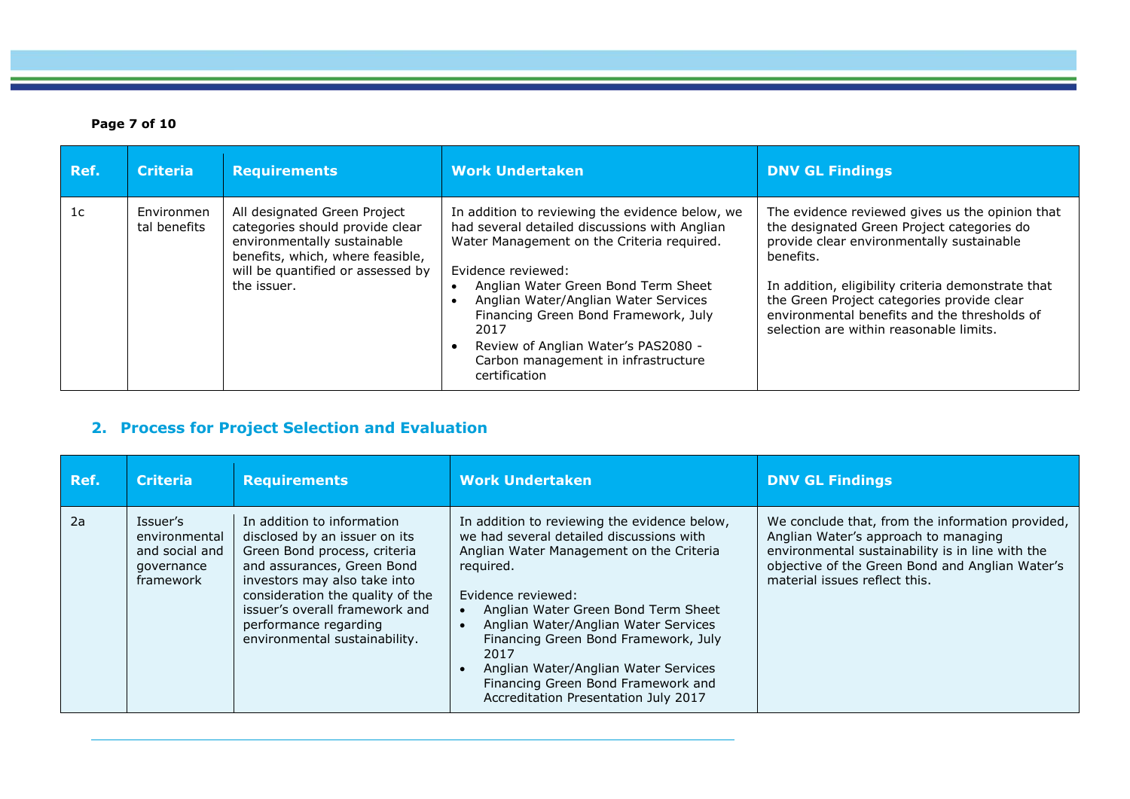### **Page 7 of 10**

| Ref.           | <b>Criteria</b>            | <b>Requirements</b>                                                                                                                                                                    | <b>Work Undertaken</b>                                                                                                                                                                                                                                                                                                                                                                             | <b>DNV GL Findings</b>                                                                                                                                                                                                                                                                                                                                 |
|----------------|----------------------------|----------------------------------------------------------------------------------------------------------------------------------------------------------------------------------------|----------------------------------------------------------------------------------------------------------------------------------------------------------------------------------------------------------------------------------------------------------------------------------------------------------------------------------------------------------------------------------------------------|--------------------------------------------------------------------------------------------------------------------------------------------------------------------------------------------------------------------------------------------------------------------------------------------------------------------------------------------------------|
| 1 <sub>c</sub> | Environmen<br>tal benefits | All designated Green Project<br>categories should provide clear<br>environmentally sustainable<br>benefits, which, where feasible,<br>will be quantified or assessed by<br>the issuer. | In addition to reviewing the evidence below, we<br>had several detailed discussions with Anglian<br>Water Management on the Criteria required.<br>Evidence reviewed:<br>Anglian Water Green Bond Term Sheet<br>Anglian Water/Anglian Water Services<br>Financing Green Bond Framework, July<br>2017<br>Review of Anglian Water's PAS2080 -<br>Carbon management in infrastructure<br>certification | The evidence reviewed gives us the opinion that<br>the designated Green Project categories do<br>provide clear environmentally sustainable<br>benefits.<br>In addition, eligibility criteria demonstrate that<br>the Green Project categories provide clear<br>environmental benefits and the thresholds of<br>selection are within reasonable limits. |

# **2. Process for Project Selection and Evaluation**

| Ref. | <b>Criteria</b>                                                        | <b>Requirements</b>                                                                                                                                                                                                                                                                       | <b>Work Undertaken</b>                                                                                                                                                                                                                                                                                                                                                                                                       | <b>DNV GL Findings</b>                                                                                                                                                                                                           |
|------|------------------------------------------------------------------------|-------------------------------------------------------------------------------------------------------------------------------------------------------------------------------------------------------------------------------------------------------------------------------------------|------------------------------------------------------------------------------------------------------------------------------------------------------------------------------------------------------------------------------------------------------------------------------------------------------------------------------------------------------------------------------------------------------------------------------|----------------------------------------------------------------------------------------------------------------------------------------------------------------------------------------------------------------------------------|
| 2a   | Issuer's<br>environmental<br>and social and<br>governance<br>framework | In addition to information<br>disclosed by an issuer on its<br>Green Bond process, criteria<br>and assurances, Green Bond<br>investors may also take into<br>consideration the quality of the<br>issuer's overall framework and<br>performance regarding<br>environmental sustainability. | In addition to reviewing the evidence below,<br>we had several detailed discussions with<br>Anglian Water Management on the Criteria<br>required.<br>Evidence reviewed:<br>Anglian Water Green Bond Term Sheet<br>Anglian Water/Anglian Water Services<br>Financing Green Bond Framework, July<br>2017<br>Anglian Water/Anglian Water Services<br>Financing Green Bond Framework and<br>Accreditation Presentation July 2017 | We conclude that, from the information provided,<br>Anglian Water's approach to managing<br>environmental sustainability is in line with the<br>objective of the Green Bond and Anglian Water's<br>material issues reflect this. |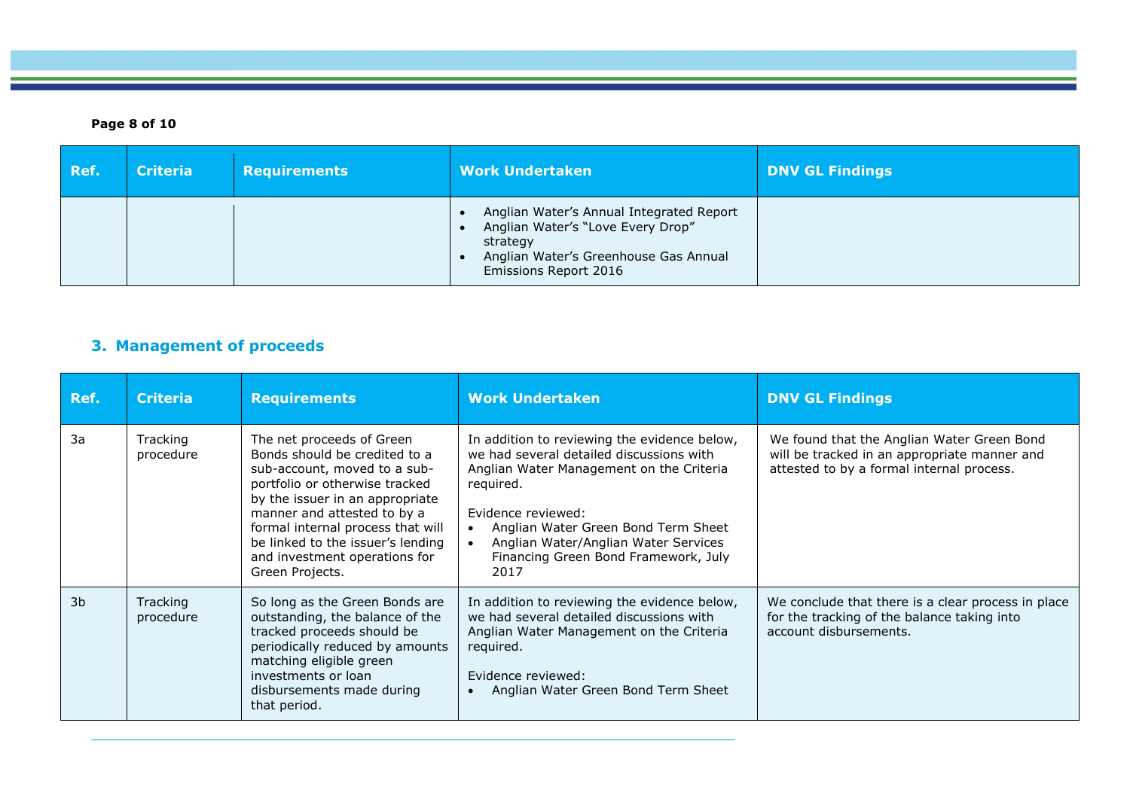### **Page 8 of 10**

| Ref. | <b>Criteria</b> | <b>Requirements</b> | <b>Work Undertaken</b>                                                                                                                                      | <b>DNV GL Findings</b> |
|------|-----------------|---------------------|-------------------------------------------------------------------------------------------------------------------------------------------------------------|------------------------|
|      |                 |                     | Anglian Water's Annual Integrated Report<br>Anglian Water's "Love Every Drop"<br>strategy<br>Anglian Water's Greenhouse Gas Annual<br>Emissions Report 2016 |                        |

### **3. Management of proceeds**

| Ref.           | <b>Criteria</b>       | <b>Requirements</b>                                                                                                                                                                                                                                                                                                          | <b>Work Undertaken</b>                                                                                                                                                                                                                                                                                 | <b>DNV GL Findings</b>                                                                                                                  |
|----------------|-----------------------|------------------------------------------------------------------------------------------------------------------------------------------------------------------------------------------------------------------------------------------------------------------------------------------------------------------------------|--------------------------------------------------------------------------------------------------------------------------------------------------------------------------------------------------------------------------------------------------------------------------------------------------------|-----------------------------------------------------------------------------------------------------------------------------------------|
| 3a             | Tracking<br>procedure | The net proceeds of Green<br>Bonds should be credited to a<br>sub-account, moved to a sub-<br>portfolio or otherwise tracked<br>by the issuer in an appropriate<br>manner and attested to by a<br>formal internal process that will<br>be linked to the issuer's lending<br>and investment operations for<br>Green Projects. | In addition to reviewing the evidence below,<br>we had several detailed discussions with<br>Anglian Water Management on the Criteria<br>reguired.<br>Evidence reviewed:<br>Anglian Water Green Bond Term Sheet<br>Anglian Water/Anglian Water Services<br>Financing Green Bond Framework, July<br>2017 | We found that the Anglian Water Green Bond<br>will be tracked in an appropriate manner and<br>attested to by a formal internal process. |
| 3 <sub>b</sub> | Tracking<br>procedure | So long as the Green Bonds are<br>outstanding, the balance of the<br>tracked proceeds should be<br>periodically reduced by amounts<br>matching eligible green<br>investments or loan<br>disbursements made during<br>that period.                                                                                            | In addition to reviewing the evidence below,<br>we had several detailed discussions with<br>Anglian Water Management on the Criteria<br>required.<br>Evidence reviewed:<br>Anglian Water Green Bond Term Sheet                                                                                         | We conclude that there is a clear process in place<br>for the tracking of the balance taking into<br>account disbursements.             |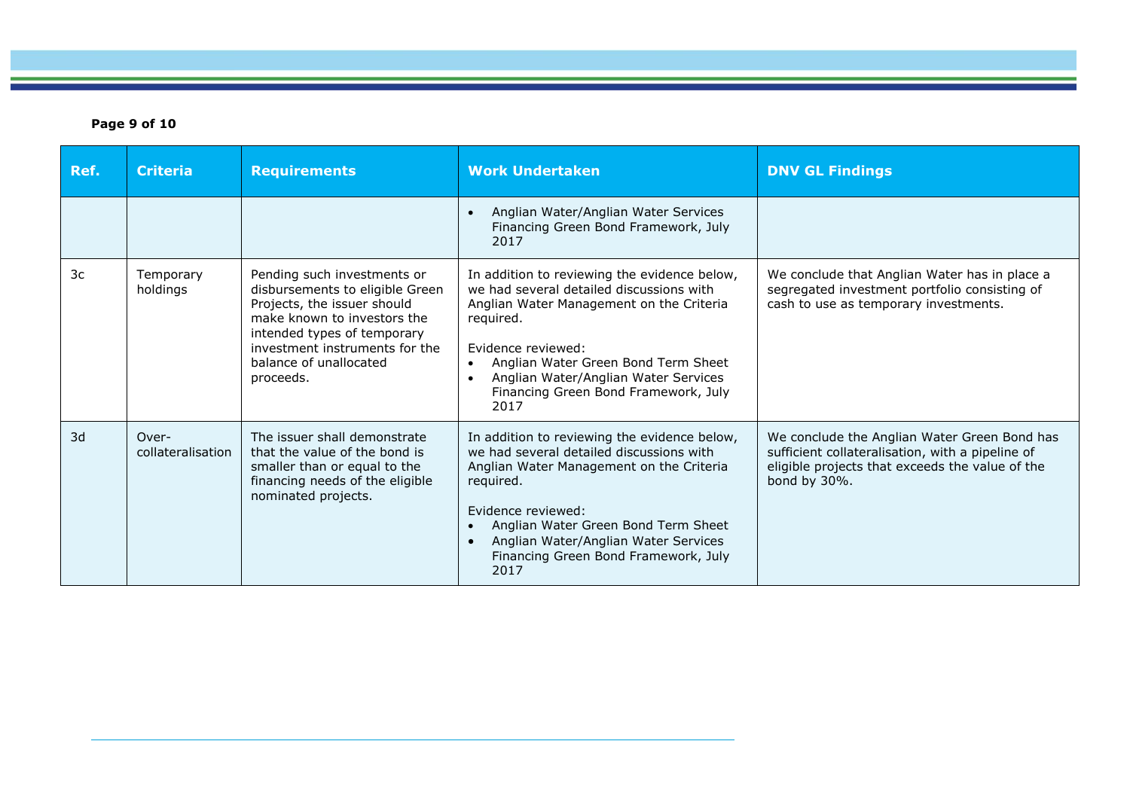### **Page 9 of 10**

| Ref. | <b>Criteria</b>            | <b>Requirements</b>                                                                                                                                                                                                                  | <b>Work Undertaken</b>                                                                                                                                                                                                                                                                                                           | <b>DNV GL Findings</b>                                                                                                                                              |
|------|----------------------------|--------------------------------------------------------------------------------------------------------------------------------------------------------------------------------------------------------------------------------------|----------------------------------------------------------------------------------------------------------------------------------------------------------------------------------------------------------------------------------------------------------------------------------------------------------------------------------|---------------------------------------------------------------------------------------------------------------------------------------------------------------------|
|      |                            |                                                                                                                                                                                                                                      | Anglian Water/Anglian Water Services<br>$\bullet$<br>Financing Green Bond Framework, July<br>2017                                                                                                                                                                                                                                |                                                                                                                                                                     |
| 3c   | Temporary<br>holdings      | Pending such investments or<br>disbursements to eligible Green<br>Projects, the issuer should<br>make known to investors the<br>intended types of temporary<br>investment instruments for the<br>balance of unallocated<br>proceeds. | In addition to reviewing the evidence below,<br>we had several detailed discussions with<br>Anglian Water Management on the Criteria<br>required.<br>Evidence reviewed:<br>Anglian Water Green Bond Term Sheet<br>$\bullet$<br>Anglian Water/Anglian Water Services<br>$\bullet$<br>Financing Green Bond Framework, July<br>2017 | We conclude that Anglian Water has in place a<br>segregated investment portfolio consisting of<br>cash to use as temporary investments.                             |
| 3d   | Over-<br>collateralisation | The issuer shall demonstrate<br>that the value of the bond is<br>smaller than or equal to the<br>financing needs of the eligible<br>nominated projects.                                                                              | In addition to reviewing the evidence below,<br>we had several detailed discussions with<br>Anglian Water Management on the Criteria<br>required.<br>Evidence reviewed:<br>Anglian Water Green Bond Term Sheet<br>$\bullet$<br>Anglian Water/Anglian Water Services<br>$\bullet$<br>Financing Green Bond Framework, July<br>2017 | We conclude the Anglian Water Green Bond has<br>sufficient collateralisation, with a pipeline of<br>eligible projects that exceeds the value of the<br>bond by 30%. |